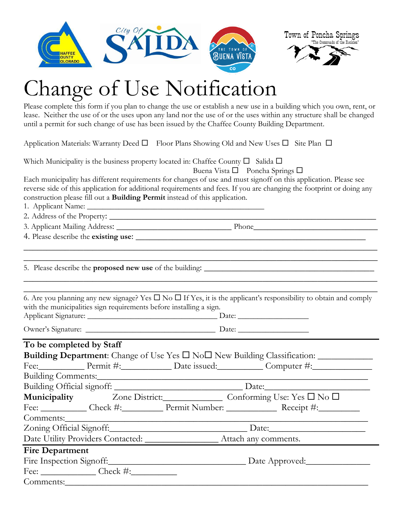



## hange of Use Notification

Please complete this form if you plan to change the use or establish a new use in a building which you own, rent, or lease. Neither the use of or the uses upon any land nor the use of or the uses within any structure shall be changed until a permit for such change of use has been issued by the Chaffee County Building Department.

Application Materials: Warranty Deed  $\Box$  Floor Plans Showing Old and New Uses  $\Box$  Site Plan  $\Box$ 

Which Municipality is the business property located in: Chaffee County  $\square$  Salida  $\square$ 

Buena Vista  $\square$  Poncha Springs  $\square$ 

Each municipality has different requirements for changes of use and must signoff on this application. Please see reverse side of this application for additional requirements and fees. If you are changing the footprint or doing any construction please fill out a **Building Permit** instead of this application.

\_\_\_\_\_\_\_\_\_\_\_\_\_\_\_\_\_\_\_\_\_\_\_\_\_\_\_\_\_\_\_\_\_\_\_\_\_\_\_\_\_\_\_\_\_\_\_\_\_\_\_\_\_\_\_\_\_\_\_\_\_\_\_\_\_\_\_\_\_\_\_\_\_\_\_\_\_ \_\_\_\_\_\_\_\_\_\_\_\_\_\_\_\_\_\_\_\_\_\_\_\_\_\_\_\_\_\_\_\_\_\_\_\_\_\_\_\_\_\_\_\_\_\_\_\_\_\_\_\_\_\_\_\_\_\_\_\_\_\_\_\_\_\_\_\_\_\_\_\_\_\_\_\_\_

\_\_\_\_\_\_\_\_\_\_\_\_\_\_\_\_\_\_\_\_\_\_\_\_\_\_\_\_\_\_\_\_\_\_\_\_\_\_\_\_\_\_\_\_\_\_\_\_\_\_\_\_\_\_\_\_\_\_\_\_\_\_\_\_\_\_\_\_\_\_\_\_\_\_\_\_\_

1. Applicant Name: \_\_\_\_\_\_\_\_\_\_\_\_\_\_\_\_\_\_\_\_\_\_\_\_\_\_\_\_\_\_\_\_\_\_\_\_\_\_\_\_\_\_\_\_\_

2. Address of the Property: \_\_\_\_\_\_\_\_\_\_\_\_\_\_\_\_\_\_\_\_\_\_\_\_\_\_\_\_\_\_\_\_\_\_\_\_\_\_\_\_\_\_\_\_\_\_\_\_\_\_\_\_\_\_\_\_\_\_

3. Applicant Mailing Address: \_\_\_\_\_\_\_\_\_\_\_\_\_\_\_\_\_\_\_\_\_\_\_\_\_ Phone\_\_\_\_\_\_\_\_\_\_\_\_\_\_\_\_\_\_\_\_\_\_\_\_\_\_\_

4. Please describe the **existing use**: \_\_\_\_\_\_\_\_\_\_\_\_\_\_\_\_\_\_\_\_\_\_\_\_\_\_\_\_\_\_\_\_\_\_\_\_\_\_\_\_\_\_\_\_\_\_\_\_\_\_

5. Please describe the **proposed new use** of the building: \_\_\_\_\_\_\_\_\_\_\_\_\_\_\_\_\_\_\_\_\_\_\_\_\_\_\_\_\_\_\_\_\_\_\_\_\_

\_\_\_\_\_\_\_\_\_\_\_\_\_\_\_\_\_\_\_\_\_\_\_\_\_\_\_\_\_\_\_\_\_\_\_\_\_\_\_\_\_\_\_\_\_\_\_\_\_\_\_\_\_\_\_\_\_\_\_\_\_\_\_\_\_\_\_\_\_\_\_\_\_\_\_\_\_ 6. Are you planning any new signage? Yes  $\Box$  No  $\Box$  If Yes, it is the applicant's responsibility to obtain and comply with the municipalities sign requirements before installing a sign. Applicant Signature: \_\_\_\_\_\_\_\_\_\_\_\_\_\_\_\_\_\_\_\_\_\_\_\_\_\_\_\_\_\_\_\_\_ Date: \_\_\_\_\_\_\_\_\_\_\_\_\_\_\_\_\_\_

Owner's Signature: \_\_\_\_\_\_\_\_\_\_\_\_\_\_\_\_\_\_\_\_\_\_\_\_\_\_\_\_\_\_\_\_\_ Date: \_\_\_\_\_\_\_\_\_\_\_\_\_\_\_\_\_\_

## **To be completed by Staff**

|                        |  | Building Department: Change of Use Yes $\square$ No $\square$ New Building Classification: |  |
|------------------------|--|--------------------------------------------------------------------------------------------|--|
|                        |  | Fee: Permit #: Date issued: Computer #:                                                    |  |
|                        |  |                                                                                            |  |
|                        |  |                                                                                            |  |
|                        |  | Municipality Zone District: Conforming Use: Yes □ No □                                     |  |
|                        |  | Fee: ____________ Check #:___________ Permit Number: ________________ Receipt #:__________ |  |
|                        |  |                                                                                            |  |
|                        |  |                                                                                            |  |
|                        |  |                                                                                            |  |
| <b>Fire Department</b> |  |                                                                                            |  |
|                        |  | Fire Inspection Signoff: Date Approved:                                                    |  |
|                        |  |                                                                                            |  |
|                        |  |                                                                                            |  |